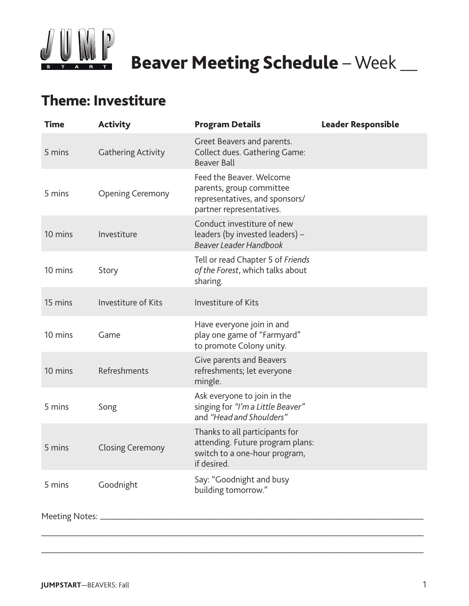

# **Beaver Meeting Schedule** – Week  $\_\_$

## **Theme: Investiture**

| <b>Time</b> | <b>Activity</b>            | <b>Program Details</b>                                                                                             | <b>Leader Responsible</b> |
|-------------|----------------------------|--------------------------------------------------------------------------------------------------------------------|---------------------------|
| 5 mins      | <b>Gathering Activity</b>  | Greet Beavers and parents.<br>Collect dues. Gathering Game:<br><b>Beaver Ball</b>                                  |                           |
| 5 mins      | <b>Opening Ceremony</b>    | Feed the Beaver. Welcome<br>parents, group committee<br>representatives, and sponsors/<br>partner representatives. |                           |
| 10 mins     | Investiture                | Conduct investiture of new<br>leaders (by invested leaders) -<br><b>Beaver Leader Handbook</b>                     |                           |
| 10 mins     | Story                      | Tell or read Chapter 5 of Friends<br>of the Forest, which talks about<br>sharing.                                  |                           |
| 15 mins     | <b>Investiture of Kits</b> | <b>Investiture of Kits</b>                                                                                         |                           |
| 10 mins     | Game                       | Have everyone join in and<br>play one game of "Farmyard"<br>to promote Colony unity.                               |                           |
| 10 mins     | Refreshments               | Give parents and Beavers<br>refreshments; let everyone<br>mingle.                                                  |                           |
| 5 mins      | Song                       | Ask everyone to join in the<br>singing for "I'm a Little Beaver"<br>and "Head and Shoulders"                       |                           |
| 5 mins      | <b>Closing Ceremony</b>    | Thanks to all participants for<br>attending. Future program plans:<br>switch to a one-hour program,<br>if desired. |                           |
| 5 mins      | Goodnight                  | Say: "Goodnight and busy<br>building tomorrow."                                                                    |                           |
|             |                            |                                                                                                                    |                           |

————————————————————————————————————————————————————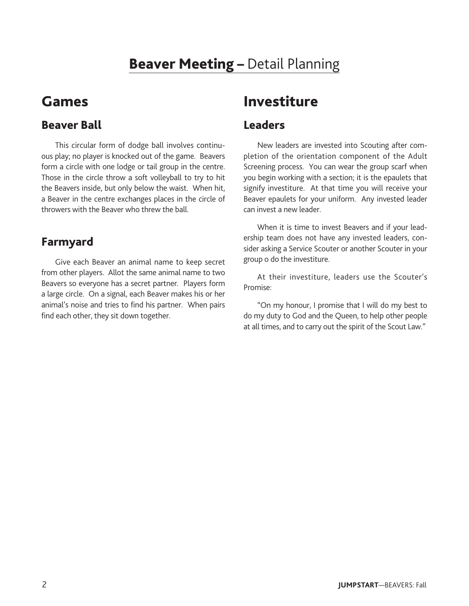### **Beaver Meeting –** Detail Planning

### **Games**

#### **Beaver Ball**

 This circular form of dodge ball involves continuous play; no player is knocked out of the game. Beavers form a circle with one lodge or tail group in the centre. Those in the circle throw a soft volleyball to try to hit the Beavers inside, but only below the waist. When hit, a Beaver in the centre exchanges places in the circle of throwers with the Beaver who threw the ball.

### **Farmyard**

 Give each Beaver an animal name to keep secret from other players. Allot the same animal name to two Beavers so everyone has a secret partner. Players form a large circle. On a signal, each Beaver makes his or her animal's noise and tries to find his partner. When pairs find each other, they sit down together.

### **Investiture**

#### **Leaders**

 New leaders are invested into Scouting after completion of the orientation component of the Adult Screening process. You can wear the group scarf when you begin working with a section; it is the epaulets that signify investiture. At that time you will receive your Beaver epaulets for your uniform. Any invested leader can invest a new leader.

 When it is time to invest Beavers and if your leadership team does not have any invested leaders, consider asking a Service Scouter or another Scouter in your group o do the investiture.

 At their investiture, leaders use the Scouter's Promise:

 "On my honour, I promise that I will do my best to do my duty to God and the Queen, to help other people at all times, and to carry out the spirit of the Scout Law."